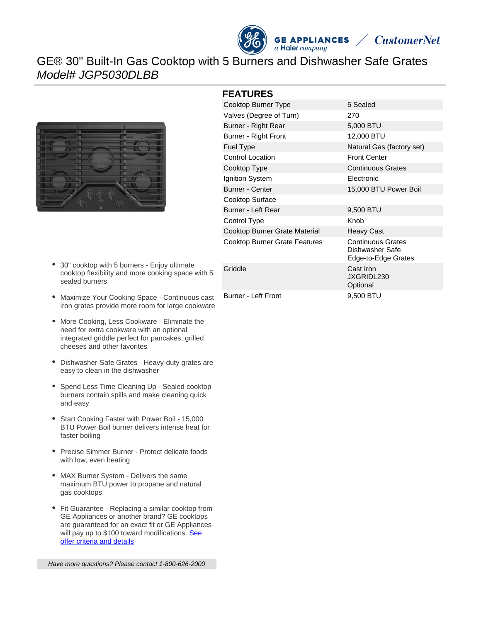



## GE® 30" Built-In Gas Cooktop with 5 Burners and Dishwasher Safe Grates Model# JGP5030DLBB



- $\bullet$ 30" cooktop with 5 burners - Enjoy ultimate cooktop flexibility and more cooking space with 5 sealed burners
- Maximize Your Cooking Space Continuous cast iron grates provide more room for large cookware
- More Cooking, Less Cookware Eliminate the need for extra cookware with an optional integrated griddle perfect for pancakes, grilled cheeses and other favorites
- Dishwasher-Safe Grates Heavy-duty grates are easy to clean in the dishwasher
- Spend Less Time Cleaning Up Sealed cooktop burners contain spills and make cleaning quick and easy
- Start Cooking Faster with Power Boil 15,000  $\bullet$ BTU Power Boil burner delivers intense heat for faster boiling
- Precise Simmer Burner Protect delicate foods with low, even heating
- MAX Burner System Delivers the same maximum BTU power to propane and natural gas cooktops
- Fit Guarantee Replacing a similar cooktop from GE Appliances or another brand? GE cooktops are guaranteed for an exact fit or GE Appliances will pay up to \$100 toward modifications. See [offer criteria and details](http://www.geappliances.com/ge/cooktops/built_in_cooktop_rebate.pdf)

#### **FEATURES**

| Cooktop Burner Type           | 5 Sealed                                                           |
|-------------------------------|--------------------------------------------------------------------|
| Valves (Degree of Turn)       | 270                                                                |
| Burner - Right Rear           | 5,000 BTU                                                          |
| Burner - Right Front          | 12,000 BTU                                                         |
| <b>Fuel Type</b>              | Natural Gas (factory set)                                          |
| <b>Control Location</b>       | <b>Front Center</b>                                                |
| Cooktop Type                  | <b>Continuous Grates</b>                                           |
| Ignition System               | <b>Electronic</b>                                                  |
| <b>Burner - Center</b>        | 15,000 BTU Power Boil                                              |
| Cooktop Surface               |                                                                    |
| Burner - Left Rear            | 9,500 BTU                                                          |
| Control Type                  | Knob                                                               |
| Cooktop Burner Grate Material | <b>Heavy Cast</b>                                                  |
| Cooktop Burner Grate Features | <b>Continuous Grates</b><br>Dishwasher Safe<br>Edge-to-Edge Grates |
| Griddle                       | Cast Iron<br>JXGRIDL230<br>Optional                                |
| <b>Burner - Left Front</b>    | 9,500 BTU                                                          |